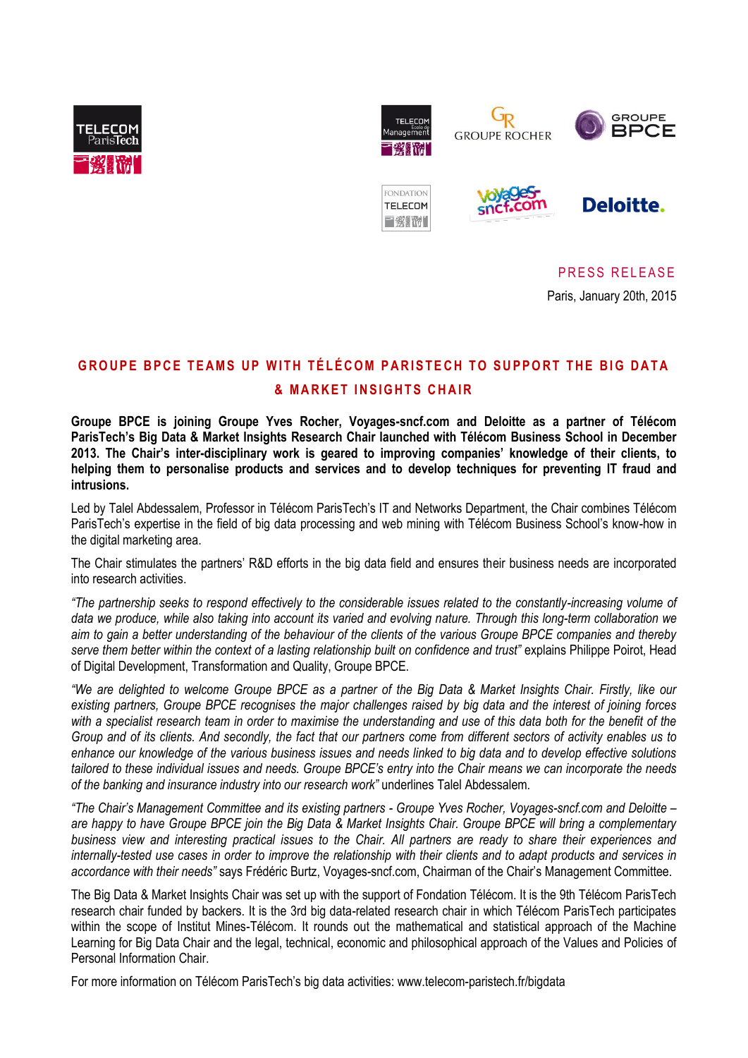



Uр **GROUPE ROCHER** 



FONDATION **TELECOM** 三發戰術





PRESS RELEASE

Paris, January 20th, 2015

# **G R O U P E B P C E T E A M S U P W I T H T É L É C O M P A R I S T E C H T O S U P P O R T T H E B IG D A T A & MARKET INSIGHTS CHAIR**

**Groupe BPCE is joining Groupe Yves Rocher, Voyages-sncf.com and Deloitte as a partner of Télécom ParisTech's Big Data & Market Insights Research Chair launched with Télécom Business School in December 2013. The Chair's inter-disciplinary work is geared to improving companies' knowledge of their clients, to helping them to personalise products and services and to develop techniques for preventing IT fraud and intrusions.**

Led by Talel Abdessalem, Professor in Télécom ParisTech's IT and Networks Department, the Chair combines Télécom ParisTech's expertise in the field of big data processing and web mining with Télécom Business School's know-how in the digital marketing area.

The Chair stimulates the partners' R&D efforts in the big data field and ensures their business needs are incorporated into research activities.

*"The partnership seeks to respond effectively to the considerable issues related to the constantly-increasing volume of data we produce, while also taking into account its varied and evolving nature. Through this long-term collaboration we aim to gain a better understanding of the behaviour of the clients of the various Groupe BPCE companies and thereby serve them better within the context of a lasting relationship built on confidence and trust"* explains Philippe Poirot, Head of Digital Development, Transformation and Quality, Groupe BPCE.

*"We are delighted to welcome Groupe BPCE as a partner of the Big Data & Market Insights Chair. Firstly, like our existing partners, Groupe BPCE recognises the major challenges raised by big data and the interest of joining forces with a specialist research team in order to maximise the understanding and use of this data both for the benefit of the Group and of its clients. And secondly, the fact that our partners come from different sectors of activity enables us to enhance our knowledge of the various business issues and needs linked to big data and to develop effective solutions tailored to these individual issues and needs. Groupe BPCE's entry into the Chair means we can incorporate the needs of the banking and insurance industry into our research work"* underlines Talel Abdessalem.

*"The Chair's Management Committee and its existing partners - Groupe Yves Rocher, Voyages-sncf.com and Deloitte – are happy to have Groupe BPCE join the Big Data & Market Insights Chair. Groupe BPCE will bring a complementary business view and interesting practical issues to the Chair. All partners are ready to share their experiences and internally-tested use cases in order to improve the relationship with their clients and to adapt products and services in accordance with their needs"* says Frédéric Burtz, Voyages-sncf.com, Chairman of the Chair's Management Committee.

The Big Data & Market Insights Chair was set up with the support of Fondation Télécom. It is the 9th Télécom ParisTech research chair funded by backers. It is the 3rd big data-related research chair in which Télécom ParisTech participates within the scope of Institut Mines-Télécom. It rounds out the mathematical and statistical approach of the Machine Learning for Big Data Chair and the legal, technical, economic and philosophical approach of the Values and Policies of Personal Information Chair.

For more information on Télécom ParisTech's big data activities: www.telecom-paristech.fr/bigdata